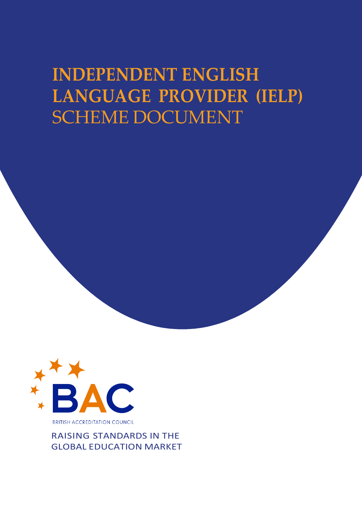# **INDEPENDENT ENGLISH LANGUAGE PROVIDER (IELP)** SCHEME DOCUMENT



RAISING STANDARDS IN THE GLOBAL EDUCATION MARKET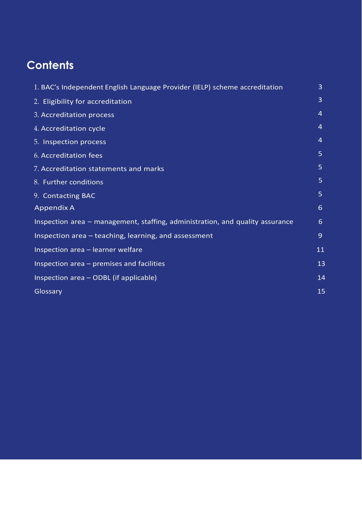## **Contents**

| 1. BAC's Independent English Language Provider (IELP) scheme accreditation    | $\overline{3}$ |
|-------------------------------------------------------------------------------|----------------|
| 2. Eligibility for accreditation                                              | $\overline{3}$ |
| 3. Accreditation process                                                      | $\overline{4}$ |
| 4. Accreditation cycle                                                        | $\overline{4}$ |
| 5. Inspection process                                                         | 4              |
| 6. Accreditation fees                                                         | 5 <sup>1</sup> |
| 7. Accreditation statements and marks                                         | 5 <sup>1</sup> |
| 8. Further conditions                                                         | $\overline{5}$ |
| 9. Contacting BAC                                                             | 5 <sup>1</sup> |
| <b>Appendix A</b>                                                             | 6              |
| Inspection area – management, staffing, administration, and quality assurance | 6              |
| Inspection area - teaching, learning, and assessment                          | $\overline{9}$ |
| Inspection area - learner welfare                                             | 11             |
| Inspection area - premises and facilities                                     | 13             |
| Inspection area - ODBL (if applicable)                                        | 14             |
| Glossary                                                                      | 15             |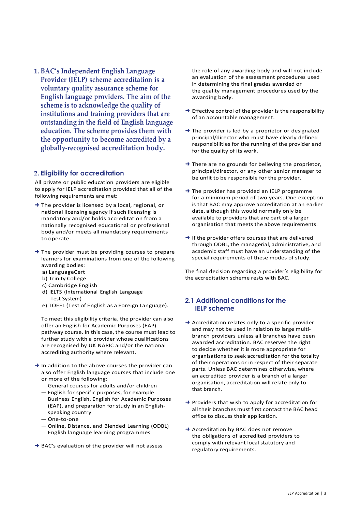**1. BAC's Independent English Language Provider (IELP) scheme accreditation is a voluntary quality assurance scheme for English language providers. The aim of the scheme is to acknowledge the quality of institutions and training providers that are outstanding in the field of English language education. The scheme provides them with the opportunity to become accredited by a globally-recognised accreditation body.**

#### <span id="page-2-0"></span>**2. Eligibility for accreditation**

All private or public education providers are eligible to apply for IELP accreditation provided that all of the following requirements are met:

- ➜ The provider is licensed by a local, regional, or national licensing agency if such licensing is mandatory and/or holds accreditation from a nationally recognised educational or professional body and/or meets all mandatory requirements to operate.
- ➜ The provider must be providing courses to prepare learners for examinations from one of the following awarding bodies:
	- a) LanguageCert
	- b) Trinity College
	- c) Cambridge English
	- d) IELTS (International English Language Test System)
	- e) TOEFL (Test of English as a Foreign Language).

To meet this eligibility criteria, the provider can also offer an English for Academic Purposes (EAP) pathway course. In this case, the course must lead to further study with a provider whose qualifications are recognised by UK NARIC and/or the national accrediting authority where relevant.

- $\rightarrow$  In addition to the above courses the provider can also offer English language courses that include one or more of the following:
	- General courses for adults and/or children
	- English for specific purposes, for example Business English, English for Academic Purposes (EAP), and preparation for study in an Englishspeaking country
	- One-to-one
	- Online, Distance, and Blended Learning (ODBL) English language learning programmes
- ➜ BAC's evaluation of the provider will not assess

the role of any awarding body and will not include an evaluation of the assessment procedures used in determining the final grades awarded or the quality management procedures used by the awarding body.

- $\rightarrow$  Effective control of the provider is the responsibility of an accountable management.
- → The provider is led by a proprietor or designated principal/director who must have clearly defined responsibilities for the running of the provider and for the quality of its work.
- $\rightarrow$  There are no grounds for believing the proprietor, principal/director, or any other senior manager to be unfit to be responsible for the provider.
- **→** The provider has provided an IELP programme for a minimum period of two years. One exception is that BAC may approve accreditation at an earlier date, although this would normally only be available to providers that are part of a larger organisation that meets the above requirements.
- $\rightarrow$  If the provider offers courses that are delivered through ODBL, the managerial, administrative, and academic staff must have an understanding of the special requirements of these modes of study.

The final decision regarding a provider's eligibility for the accreditation scheme rests with BAC.

## **2.1 Additional conditions for the IELP scheme**

- ➜ Accreditation relates only to a specific provider and may not be used in relation to large multibranch providers unless all branches have been awarded accreditation. BAC reserves the right to decide whether it is more appropriate for organisations to seek accreditation for the totality of their operations or in respect of their separate parts. Unless BAC determines otherwise, where an accredited provider is a branch of a larger organisation, accreditation will relate only to that branch.
- → Providers that wish to apply for accreditation for all their branches must first contact the BAC head office to discuss their application.
- **→ Accreditation by BAC does not remove** the obligations of accredited providers to comply with relevant local statutory and regulatory requirements.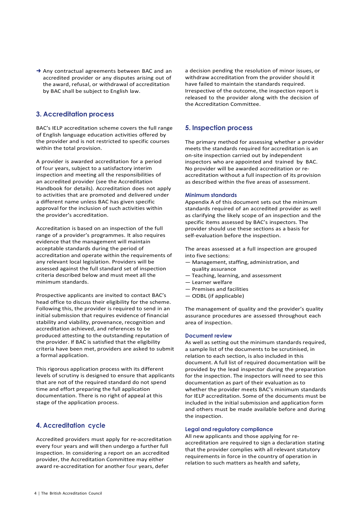→ Any contractual agreements between BAC and an accredited provider or any disputes arising out of the award, refusal, or withdrawal of accreditation by BAC shall be subject to English law.

## <span id="page-3-0"></span>**3. Accreditation process**

BAC's IELP accreditation scheme covers the full range of English language education activities offered by the provider and is not restricted to specific courses within the total provision.

A provider is awarded accreditation for a period of four years, subject to a satisfactory interim inspection and meeting all the responsibilities of an accredited provider (see the Accreditation Handbook for details). Accreditation does not apply to activities that are promoted and delivered under a different name unless BAC has given specific approval for the inclusion of such activities within the provider's accreditation.

Accreditation is based on an inspection of the full range of a provider's programmes. It also requires evidence that the management will maintain acceptable standards during the period of accreditation and operate within the requirements of any relevant local legislation. Providers will be assessed against the full standard set of inspection criteria described below and must meet all the minimum standards.

Prospective applicants are invited to contact BAC's head office to discuss their eligibility for the scheme. Following this, the provider is required to send in an initial submission that requires evidence of financial stability and viability, provenance, recognition and accreditation achieved, and references to be produced attesting to the outstanding reputation of the provider. If BAC is satisfied that the eligibility criteria have been met, providers are asked to submit a formal application.

This rigorous application process with its different levels of scrutiny is designed to ensure that applicants that are not of the required standard do not spend time and effort preparing the full application documentation. There is no right of appeal at this stage of the application process.

#### <span id="page-3-1"></span>**4. Accreditation cycle**

Accredited providers must apply for re-accreditation every four years and will then undergo a further full inspection. In considering a report on an accredited provider, the Accreditation Committee may either award re-accreditation for another four years, defer

a decision pending the resolution of minor issues, or withdraw accreditation from the provider should it have failed to maintain the standards required. Irrespective of the outcome, the inspection report is released to the provider along with the decision of the Accreditation Committee.

### <span id="page-3-2"></span>**5. Inspection process**

The primary method for assessing whether a provider meets the standards required for accreditation is an on-site inspection carried out by independent inspectors who are appointed and trained by BAC. No provider will be awarded accreditation or reaccreditation without a full inspection of its provision as described within the five areas of assessment.

#### **Minimum standards**

Appendix A of this document sets out the minimum standards required of an accredited provider as well as clarifying the likely scope of an inspection and the specific items assessed by BAC's inspectors. The provider should use these sections as a basis for self-evaluation before the inspection.

The areas assessed at a full inspection are grouped into five sections:

- $-$  Management, staffing, administration, and quality assurance
- Teaching, learning, and assessment
- Learner welfare
- Premises and facilities
- ODBL (if applicable)

The management of quality and the provider's quality assurance procedures are assessed throughout each area of inspection.

#### **Document review**

As well as setting out the minimum standards required, a sample list of the documents to be scrutinised, in relation to each section, is also included in this document. A full list of required documentation will be provided by the lead inspector during the preparation for the inspection. The inspectors will need to see this documentation as part of their evaluation as to whether the provider meets BAC's minimum standards for IELP accreditation. Some of the documents must be included in the initial submission and application form and others must be made available before and during the inspection.

#### **Legal and regulatory compliance**

All new applicants and those applying for reaccreditation are required to sign a declaration stating that the provider complies with all relevant statutory requirements in force in the country of operation in relation to such matters as health and safety,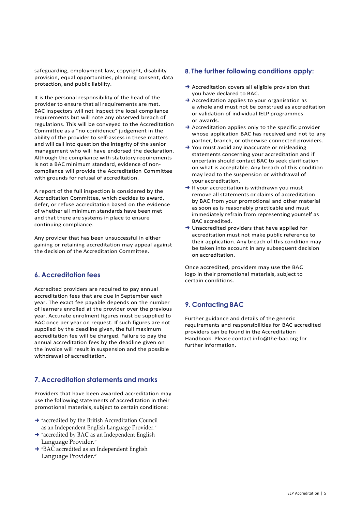safeguarding, employment law, copyright, disability provision, equal opportunities, planning consent, data protection, and public liability.

It is the personal responsibility of the head of the provider to ensure that all requirements are met. BAC inspectors will not inspect the local compliance requirements but will note any observed breach of regulations. This will be conveyed to the Accreditation Committee as a "no confidence" judgement in the ability of the provider to self-assess in these matters and will call into question the integrity of the senior management who will have endorsed the declaration. Although the compliance with statutory requirements is not a BAC minimum standard, evidence of noncompliance will provide the Accreditation Committee with grounds for refusal of accreditation.

A report of the full inspection is considered by the Accreditation Committee, which decides to award, defer, or refuse accreditation based on the evidence of whether all minimum standards have been met and that there are systems in place to ensure continuing compliance.

Any provider that has been unsuccessful in either gaining or retaining accreditation may appeal against the decision of the Accreditation Committee.

## <span id="page-4-0"></span>**6. Accreditation fees**

Accredited providers are required to pay annual accreditation fees that are due in September each year. The exact fee payable depends on the number of learners enrolled at the provider over the previous year. Accurate enrolment figures must be supplied to BAC once per year on request. If such figures are not supplied by the deadline given, the full maximum accreditation fee will be charged. Failure to pay the annual accreditation fees by the deadline given on the invoice will result in suspension and the possible withdrawal of accreditation.

## <span id="page-4-1"></span>**7. Accreditation statements and marks**

Providers that have been awarded accreditation may use the following statements of accreditation in their promotional materials, subject to certain conditions:

- $\rightarrow$  "accredited by the British Accreditation Council as an Independent English Language Provider."
- → "accredited by BAC as an Independent English Language Provider."
- ➜ "BAC accredited as an Independent English Language Provider."

#### **8. The further following conditions apply:**

- $\rightarrow$  Accreditation covers all eligible provision that you have declared to BAC.
- $\rightarrow$  Accreditation applies to your organisation as a whole and must not be construed as accreditation or validation of individual IELP programmes or awards.
- → Accreditation applies only to the specific provider whose application BAC has received and not to any partner, branch, or otherwise connected providers.
- → You must avoid any inaccurate or misleading statements concerning your accreditation and if uncertain should contact BAC to seek clarification on what is acceptable. Any breach of this condition may lead to the suspension or withdrawal of your accreditation.
- $\rightarrow$  If your accreditation is withdrawn you must remove all statements or claims of accreditation by BAC from your promotional and other material as soon as is reasonably practicable and must immediately refrain from representing yourself as BAC accredited.
- ➜ Unaccredited providers that have applied for accreditation must not make public reference to their application. Any breach of this condition may be taken into account in any subsequent decision on accreditation.

Once accredited, providers may use the BAC logo in their promotional materials, subject to certain conditions.

## <span id="page-4-2"></span>**9. Contacting BAC**

Further guidance and details of the generic requirements and responsibilities for BAC accredited providers can be found in the Accreditation Handbook. Please contact [info@the-bac.org](mailto:info@the-bac.org) for further information.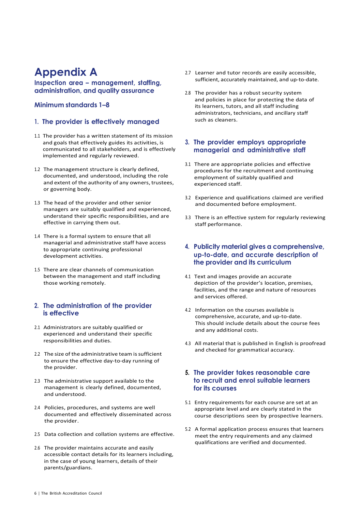## <span id="page-5-0"></span>**Appendix A**

<span id="page-5-1"></span>**Inspection area – management, staffing, administration, and quality assurance**

## **Minimum standards 1–8**

#### **1. The provider is effectively managed**

- 1.1 The provider has a written statement of its mission and goals that effectively guides its activities, is communicated to all stakeholders, and is effectively implemented and regularly reviewed.
- 1.2 The management structure is clearly defined, documented, and understood, including the role and extent of the authority of any owners, trustees, or governing body.
- 1.3 The head of the provider and other senior managers are suitably qualified and experienced, understand their specific responsibilities, and are effective in carrying them out.
- 1.4 There is a formal system to ensure that all managerial and administrative staff have access to appropriate continuing professional development activities.
- 1.5 There are clear channels of communication between the management and staff including those working remotely.

#### **2. The administration of the provider is effective**

- 2.1 Administrators are suitably qualified or experienced and understand their specific responsibilities and duties.
- 2.2 The size of the administrative team is sufficient to ensure the effective day-to-day running of the provider.
- 2.3 The administrative support available to the management is clearly defined, documented, and understood.
- 2.4 Policies, procedures, and systems are well documented and effectively disseminated across the provider.
- 2.5 Data collection and collation systems are effective.
- 2.6 The provider maintains accurate and easily accessible contact details for its learners including, in the case of young learners, details of their parents/guardians.
- 2.7 Learner and tutor records are easily accessible, sufficient, accurately maintained, and up-to-date.
- 2.8 The provider has a robust security system and policies in place for protecting the data of its learners, tutors, and all staff including administrators, technicians, and ancillary staff such as cleaners.

### **3. The provider employs appropriate managerial and administrative staff**

- 3.1 There are appropriate policies and effective procedures for the recruitment and continuing employment of suitably qualified and experienced staff.
- 3.2 Experience and qualifications claimed are verified and documented before employment.
- 3.3 There is an effective system for regularly reviewing staff performance.

#### **4. Publicity material gives a comprehensive, up-to-date, and accurate description of the provider and its curriculum**

- 4.1 Text and images provide an accurate depiction of the provider's location, premises, facilities, and the range and nature of resources and services offered.
- 4.2 Information on the courses available is comprehensive, accurate, and up-to-date. This should include details about the course fees and any additional costs.
- 4.3 All material that is published in English is proofread and checked for grammatical accuracy.

#### **5. The provider takes reasonable care to recruit and enrol suitable learners for its courses**

- 5.1 Entry requirements for each course are set at an appropriate level and are clearly stated in the course descriptions seen by prospective learners.
- 5.2 A formal application process ensures that learners meet the entry requirements and any claimed qualifications are verified and documented.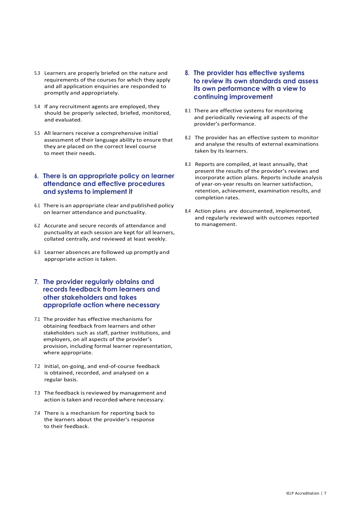- 5.3 Learners are properly briefed on the nature and requirements of the courses for which they apply and all application enquiries are responded to promptly and appropriately.
- 5.4 If any recruitment agents are employed, they should be properly selected, briefed, monitored, and evaluated.
- 5.5 All learners receive a comprehensive initial assessment of their language ability to ensure that they are placed on the correct level course to meet their needs.

#### **6. There is an appropriate policy on learner attendance and effective procedures and systems to implement it**

- 6.1 There is an appropriate clear and published policy on learner attendance and punctuality.
- 6.2 Accurate and secure records of attendance and punctuality at each session are kept for all learners, collated centrally, and reviewed at least weekly.
- 6.3 Learner absences are followed up promptly and appropriate action is taken.

### **7. The provider regularly obtains and records feedback from learners and other stakeholders and takes appropriate action where necessary**

- 7.1 The provider has effective mechanisms for obtaining feedback from learners and other stakeholders such as staff, partner institutions, and employers, on all aspects of the provider's provision, including formal learner representation, where appropriate.
- 7.2 Initial, on-going, and end-of-course feedback is obtained, recorded, and analysed on a regular basis.
- 7.3 The feedback is reviewed by management and action is taken and recorded where necessary.
- 7.4 There is a mechanism for reporting back to the learners about the provider's response to their feedback.
- **8. The provider has effective systems to review its own standards and assess its own performance with a view to continuing improvement**
- 8.1 There are effective systems for monitoring and periodically reviewing all aspects of the provider's performance.
- 8.2 The provider has an effective system to monitor and analyse the results of external examinations taken by its learners.
- 8.3 Reports are compiled, at least annually, that present the results of the provider's reviews and incorporate action plans. Reports include analysis of year-on-year results on learner satisfaction, retention, achievement, examination results, and completion rates.
- 8.4 Action plans are documented, implemented, and regularly reviewed with outcomes reported to management.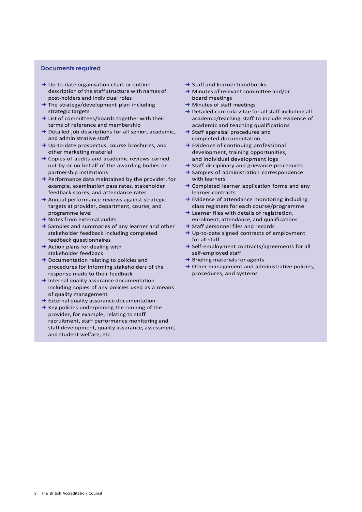#### **Documents required**

- ➜ Up-to-date organisation chart or outline description of the staff structure with names of post-holders and individual roles
- → The strategy/development plan including strategic targets
- → List of committees/boards together with their terms of reference and membership
- $\rightarrow$  Detailed job descriptions for all senior, academic, and administrative staff
- ➜ Up‐to‐date prospectus, course brochures, and other marketing material
- $\rightarrow$  Copies of audits and academic reviews carried out by or on behalf of the awarding bodies or partnership institutions
- $\rightarrow$  Performance data maintained by the provider, for example, examination pass rates, stakeholder feedback scores, and attendance rates
- $\rightarrow$  Annual performance reviews against strategic targets at provider, department, course, and programme level
- $\rightarrow$  Notes from external audits
- **→** Samples and summaries of any learner and other stakeholder feedback including completed feedback questionnaires
- $\rightarrow$  Action plans for dealing with stakeholder feedback
- ➜ Documentation relating to policies and procedures for informing stakeholders of the response made to their feedback
- → Internal quality assurance documentation including copies of any policies used as a means of quality management
- **→** External quality assurance documentation
- $\rightarrow$  Key policies underpinning the running of the provider, for example, relating to staff recruitment, staff performance monitoring and staff development, quality assurance, assessment, and student welfare, etc.
- $\rightarrow$  Staff and learner handbooks
- ➜ Minutes of relevant committee and/or board meetings
- $\rightarrow$  Minutes of staff meetings
- ➜ Detailed curricula vitae for all staff including all academic/teaching staff to include evidence of academic and teaching qualifications
- $\rightarrow$  Staff appraisal procedures and completed documentation
- $\rightarrow$  Evidence of continuing professional development, training opportunities, and individual development logs
- → Staff disciplinary and grievance procedures
- **→ Samples of administration correspondence** with learners
- $\rightarrow$  Completed learner application forms and any learner contracts
- $\rightarrow$  Evidence of attendance monitoring including class registers for each course/programme
- $\rightarrow$  Learner files with details of registration, enrolment, attendance, and qualifications
- **→ Staff personnel files and records**
- → Up-to-date signed contracts of employment for all staff
- → Self-employment contracts/agreements for all self-employed staff
- $\rightarrow$  Briefing materials for agents
- $\rightarrow$  Other management and administrative policies, procedures, and systems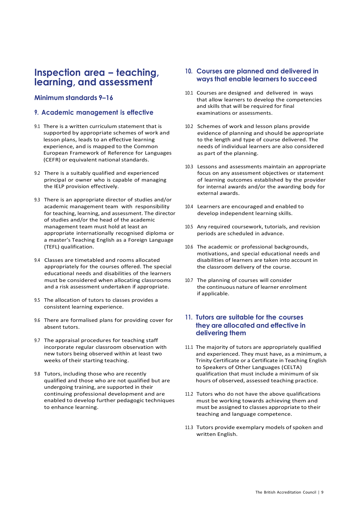## <span id="page-8-0"></span>**Inspection area – teaching, learning, and assessment**

### **Minimum standards 9–16**

#### **9. Academic management is effective**

- 9.1 There is a written curriculum statement that is supported by appropriate schemes of work and lesson plans, leads to an effective learning experience, and is mapped to the Common European Framework of Reference for Languages (CEFR) or equivalent national standards.
- 9.2 There is a suitably qualified and experienced principal or owner who is capable of managing the IELP provision effectively.
- 9.3 There is an appropriate director of studies and/or academic management team with responsibility for teaching, learning, and assessment. The director of studies and/or the head of the academic management team must hold at least an appropriate internationally recognised diploma or a master's Teaching English as a Foreign Language (TEFL) qualification.
- 9.4 Classes are timetabled and rooms allocated appropriately for the courses offered. The special educational needs and disabilities of the learners must be considered when allocating classrooms and a risk assessment undertaken if appropriate.
- 9.5 The allocation of tutors to classes provides a consistent learning experience.
- 9.6 There are formalised plans for providing cover for absent tutors.
- 9.7 The appraisal procedures for teaching staff incorporate regular classroom observation with new tutors being observed within at least two weeks of their starting teaching.
- 9.8 Tutors, including those who are recently qualified and those who are not qualified but are undergoing training, are supported in their continuing professional development and are enabled to develop further pedagogic techniques to enhance learning.

#### **10. Courses are planned and delivered in ways that enable learners to succeed**

- 10.1 Courses are designed and delivered in ways that allow learners to develop the competencies and skills that will be required for final examinations or assessments.
- 10.2 Schemes of work and lesson plans provide evidence of planning and should be appropriate to the length and type of course delivered. The needs of individual learners are also considered as part of the planning.
- 10.3 Lessons and assessments maintain an appropriate focus on any assessment objectives or statement of learning outcomes established by the provider for internal awards and/or the awarding body for external awards.
- 10.4 Learners are encouraged and enabled to develop independent learning skills.
- 10.5 Any required coursework, tutorials, and revision periods are scheduled in advance.
- 10.6 The academic or professional backgrounds, motivations, and special educational needs and disabilities of learners are taken into account in the classroom delivery of the course.
- 10.7 The planning of courses will consider the continuous nature of learner enrolment if applicable.

### **11. Tutors are suitable for the courses they are allocated and effective in delivering them**

- 11.1 The majority of tutors are appropriately qualified and experienced. They must have, as a minimum, a Trinity Certificate or a Certificate in Teaching English to Speakers of Other Languages (CELTA) qualification that must include a minimum of six hours of observed, assessed teaching practice.
- 11.2 Tutors who do not have the above qualifications must be working towards achieving them and must be assigned to classes appropriate to their teaching and language competence.
- 11.3 Tutors provide exemplary models of spoken and written English.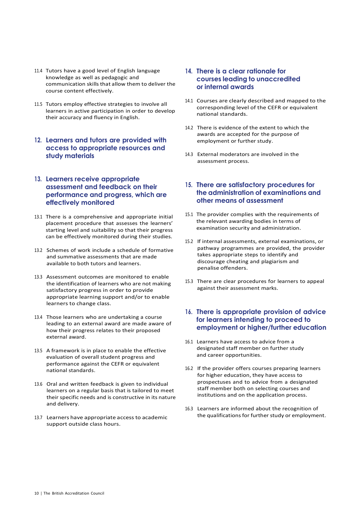- 11.4 Tutors have a good level of English language knowledge as well as pedagogic and communication skills that allow them to deliver the course content effectively.
- 11.5 Tutors employ effective strategies to involve all learners in active participation in order to develop their accuracy and fluency in English.
- **12. Learners and tutors are provided with access to appropriate resources and study materials**

#### **13. Learners receive appropriate assessment and feedback on their performance and progress, which are effectively monitored**

- 13.1 There is a comprehensive and appropriate initial placement procedure that assesses the learners' starting level and suitability so that their progress can be effectively monitored during their studies.
- 13.2 Schemes of work include a schedule of formative and summative assessments that are made available to both tutors and learners.
- 13.3 Assessment outcomes are monitored to enable the identification of learners who are not making satisfactory progress in order to provide appropriate learning support and/or to enable learners to change class.
- 13.4 Those learners who are undertaking a course leading to an external award are made aware of how their progress relates to their proposed external award.
- 13.5 A framework is in place to enable the effective evaluation of overall student progress and performance against the CEFR or equivalent national standards.
- 13.6 Oral and written feedback is given to individual learners on a regular basis that is tailored to meet their specific needs and is constructive in its nature and delivery.
- 13.7 Learners have appropriate access to academic support outside class hours.

### **14. There is a clear rationale for courses leading to unaccredited or internal awards**

- 14.1 Courses are clearly described and mapped to the corresponding level of the CEFR or equivalent national standards.
- 14.2 There is evidence of the extent to which the awards are accepted for the purpose of employment or further study.
- 14.3 External moderators are involved in the assessment process.

#### **15. There are satisfactory procedures for the administration of examinations and other means of assessment**

- 15.1 The provider complies with the requirements of the relevant awarding bodies in terms of examination security and administration.
- 15.2 If internal assessments, external examinations, or pathway programmes are provided, the provider takes appropriate steps to identify and discourage cheating and plagiarism and penalise offenders.
- 15.3 There are clear procedures for learners to appeal against their assessment marks.

## **16. There is appropriate provision of advice for learners intending to proceed to employment or higher/further education**

- 16.1 Learners have access to advice from a designated staff member on further study and career opportunities.
- 16.2 If the provider offers courses preparing learners for higher education, they have access to prospectuses and to advice from a designated staff member both on selecting courses and institutions and on the application process.
- 16.3 Learners are informed about the recognition of the qualifications for further study or employment.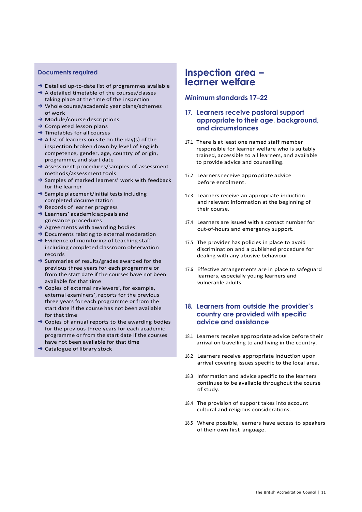#### **Documents required**

- ➜ Detailed up-to-date list of programmes available
- ➜ A detailed timetable of the courses/classes taking place at the time of the inspection ➜ Whole course/academic year plans/schemes
- of work
- ➜ Module/course descriptions
- $\rightarrow$  Completed lesson plans
- $\rightarrow$  Timetables for all courses
- $\rightarrow$  A list of learners on site on the day(s) of the inspection broken down by level of English competence, gender, age, country of origin, programme, and start date
- ➜ Assessment procedures/samples of assessment methods/assessment tools
- ➜ Samples of marked learners' work with feedback for the learner
- → Sample placement/initial tests including completed documentation
- **→ Records of learner progress**
- $\rightarrow$  Learners' academic appeals and grievance procedures
- $\rightarrow$  Agreements with awarding bodies
- **→** Documents relating to external moderation
- ➜ Evidence of monitoring of teaching staff including completed classroom observation records
- ➜ Summaries of results/grades awarded for the previous three years for each programme or from the start date if the courses have not been available for that time
- $\rightarrow$  Copies of external reviewers', for example, external examiners', reports for the previous three years for each programme or from the start date if the course has not been available for that time
- $\rightarrow$  Copies of annual reports to the awarding bodies for the previous three years for each academic programme or from the start date if the courses have not been available for that time
- ➜ Catalogue of library stock

## <span id="page-10-0"></span>**Inspection area – learner welfare**

#### **Minimum standards 17–22**

#### **17. Learners receive pastoral support appropriate to their age, background, and circumstances**

- 17.1 There is at least one named staff member responsible for learner welfare who is suitably trained, accessible to all learners, and available to provide advice and counselling.
- 17.2 Learners receive appropriate advice before enrolment.
- 17.3 Learners receive an appropriate induction and relevant information at the beginning of their course.
- 17.4 Learners are issued with a contact number for out-of-hours and emergency support.
- 17.5 The provider has policies in place to avoid discrimination and a published procedure for dealing with any abusive behaviour.
- 17.6 Effective arrangements are in place to safeguard learners, especially young learners and vulnerable adults.

## **18. Learners from outside the provider's country are provided with specific advice and assistance**

- 18.1 Learners receive appropriate advice before their arrival on travelling to and living in the country.
- 18.2 Learners receive appropriate induction upon arrival covering issues specific to the local area.
- 18.3 Information and advice specific to the learners continues to be available throughout the course of study.
- 18.4 The provision of support takes into account cultural and religious considerations.
- 18.5 Where possible, learners have access to speakers of their own first language.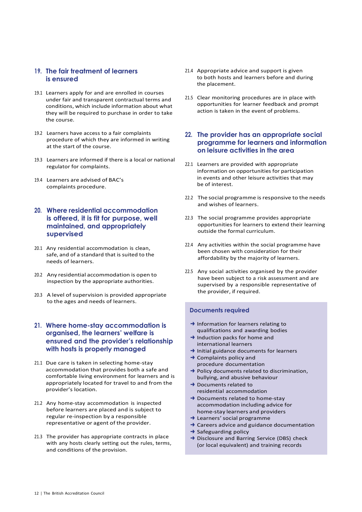## **19. The fair treatment of learners is ensured**

- 19.1 Learners apply for and are enrolled in courses under fair and transparent contractual terms and conditions, which include information about what they will be required to purchase in order to take the course.
- 19.2 Learners have access to a fair complaints procedure of which they are informed in writing at the start of the course.
- 19.3 Learners are informed if there is a local or national regulator for complaints.
- 19.4 Learners are advised of BAC's complaints procedure.
- **20. Where residential accommodation is offered, it is fit for purpose, well maintained, and appropriately supervised**
- 20.1 Any residential accommodation is clean, safe, and of a standard that is suited to the needs of learners.
- 20.2 Any residential accommodation is open to inspection by the appropriate authorities.
- 20.3 A level of supervision is provided appropriate to the ages and needs of learners.

#### **21. Where home-stay accommodation is organised, the learners' welfare is ensured and the provider's relationship with hosts is properly managed**

- 21.1 Due care is taken in selecting home-stay accommodation that provides both a safe and comfortable living environment for learners and is appropriately located for travel to and from the provider's location.
- 21.2 Any home-stay accommodation is inspected before learners are placed and is subject to regular re-inspection by a responsible representative or agent of the provider.
- 21.3 The provider has appropriate contracts in place with any hosts clearly setting out the rules, terms, and conditions of the provision.
- 21.4 Appropriate advice and support is given to both hosts and learners before and during the placement.
- 21.5 Clear monitoring procedures are in place with opportunities for learner feedback and prompt action is taken in the event of problems.
- **22. The provider has an appropriate social programme for learners and information on leisure activities in the area**
- 22.1 Learners are provided with appropriate information on opportunities for participation in events and other leisure activities that may be of interest.
- 22.2 The social programme is responsive to the needs and wishes of learners.
- 22.3 The social programme provides appropriate opportunities for learners to extend their learning outside the formal curriculum.
- 22.4 Any activities within the social programme have been chosen with consideration for their affordability by the majority of learners.
- 22.5 Any social activities organised by the provider have been subject to a risk assessment and are supervised by a responsible representative of the provider, if required.

#### **Documents required**

- ➜ Information for learners relating to qualifications and awarding bodies
- ➜ Induction packs for home and international learners
- **→** Initial guidance documents for learners
- $\rightarrow$  Complaints policy and procedure documentation
- ➜ Policy documents related to discrimination, bullying, and abusive behaviour
- **→** Documents related to residential accommodation
- → Documents related to home-stay accommodation including advice for home-stay learners and providers
- $\rightarrow$  Learners' social programme
- $\rightarrow$  Careers advice and guidance documentation
- $\rightarrow$  Safeguarding policy
- ➜ Disclosure and Barring Service (DBS) check (or local equivalent) and training records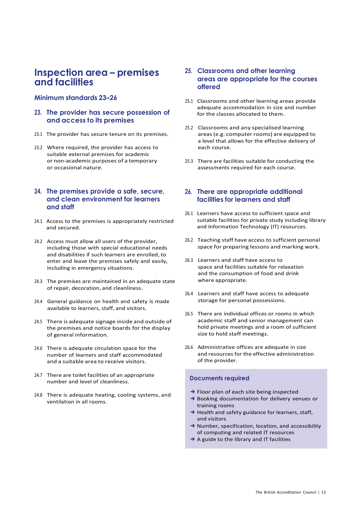## <span id="page-12-0"></span>**Inspection area – premises and facilities**

#### **Minimum standards 23–26**

#### **23. The provider has secure possession of and access to its premises**

- 23.1 The provider has secure tenure on its premises.
- 23.2 Where required, the provider has access to suitable external premises for academic or non-academic purposes of a temporary or occasional nature.

#### **24. The premises provide a safe, secure, and clean environment for learners and staff**

- 24.1 Access to the premises is appropriately restricted and secured.
- 24.2 Access must allow all users of the provider, including those with special educational needs and disabilities if such learners are enrolled, to enter and leave the premises safely and easily, including in emergency situations.
- 24.3 The premises are maintained in an adequate state of repair, decoration, and cleanliness.
- 24.4 General guidance on health and safety is made available to learners, staff, and visitors.
- 24.5 There is adequate signage inside and outside of the premises and notice boards for the display of general information.
- 24.6 There is adequate circulation space for the number of learners and staff accommodated and a suitable area to receive visitors.
- 24.7 There are toilet facilities of an appropriate number and level of cleanliness.
- 24.8 There is adequate heating, cooling systems, and ventilation in all rooms.

#### **25. Classrooms and other learning areas are appropriate for the courses offered**

- 25.1 Classrooms and other learning areas provide adequate accommodation in size and number for the classes allocated to them.
- 25.2 Classrooms and any specialised learning areas(e.g. computer rooms) are equipped to a level that allows for the effective delivery of each course.
- 25.3 There are facilities suitable for conducting the assessments required for each course.

## **26. There are appropriate additional facilities for learners and staff**

- 26.1 Learners have access to sufficient space and suitable facilities for private study including library and Information Technology (IT) resources.
- 26.2 Teaching staff have access to sufficient personal space for preparing lessons and marking work.
- 26.3 Learners and staff have access to space and facilities suitable for relaxation and the consumption of food and drink where appropriate.
- 26.4 Learners and staff have access to adequate storage for personal possessions.
- 26.5 There are individual offices or rooms in which academic staff and senior management can hold private meetings and a room of sufficient size to hold staff meetings.
- 26.6 Administrative offices are adequate in size and resources for the effective administration of the provider.

#### **Documents required**

- → Floor plan of each site being inspected
- → Booking documentation for delivery venues or training rooms
- $\rightarrow$  Health and safety guidance for learners, staff, and visitors
- $\rightarrow$  Number, specification, location, and accessibility of computing and related IT resources
- → A guide to the library and IT facilities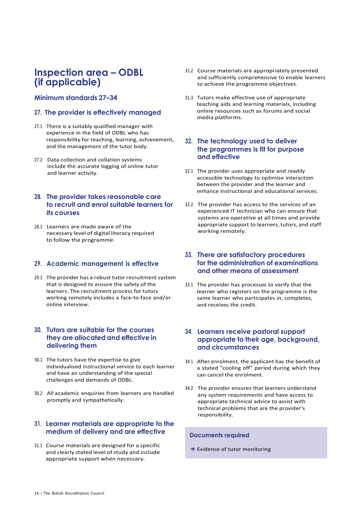## <span id="page-13-0"></span>**Inspection area – ODBL (if applicable)**

## **Minimum standards 27–34**

#### **27. The provider is effectively managed**

- 27.1 There is a suitably qualified manager with experience in the field of ODBL who has responsibility for teaching, learning, achievement, and the management of the tutor body.
- 27.2 Data collection and collation systems include the accurate logging of online tutor and learner activity.

### **28. The provider takes reasonable care to recruit and enrol suitable learners for its courses**

28.1 Learners are made aware of the necessary level of digital literacy required to follow the programme.

#### **29. Academic management is effective**

29.1 The provider has a robust tutor recruitment system that is designed to ensure the safety of the learners. The recruitment process for tutors working remotely includes a face-to-face and/or online interview.

#### **30. Tutors are suitable for the courses they are allocated and effective in delivering them**

- 30.1 The tutors have the expertise to give individualised instructional service to each learner and have an understanding of the special challenges and demands of ODBL.
- 30.2 All academic enquiries from learners are handled promptly and sympathetically.

## **31. Learner materials are appropriate to the medium of delivery and are effective**

31.1 Course materials are designed for a specific and clearly stated level of study and include appropriate support when necessary.

- 31.2 Course materials are appropriately presented and sufficiently comprehensive to enable learners to achieve the programme objectives.
- 31.3 Tutors make effective use of appropriate teaching aids and learning materials, including online resources such as forums and social media platforms.

#### **32. The technology used to deliver the programmes is fit for purpose and effective**

- 32.1 The provider uses appropriate and readily accessible technology to optimise interaction between the provider and the learner and enhance instructional and educational services.
- 32.2 The provider has access to the services of an experienced IT technician who can ensure that systems are operative at all times and provide appropriate support to learners, tutors, and staff working remotely.

#### **33. There are satisfactory procedures for the administration of examinations and other means of assessment**

33.1 The provider has processes to verify that the learner who registers on the programme is the same learner who participates in, completes, and receives the credit.

#### **34. Learners receive pastoral support appropriate to their age, background, and circumstances**

- 34.1 After enrolment, the applicant has the benefit of a stated "cooling off" period during which they can cancel the enrolment.
- 34.2 The provider ensures that learners understand any system requirements and have access to appropriate technical advice to assist with technical problems that are the provider's responsibility.

#### **Documents required**

→ Evidence of tutor monitoring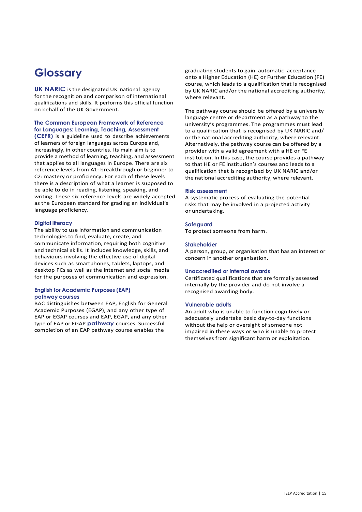## <span id="page-14-0"></span>**Glossary**

**UK NARIC** is the designated UK national agency for the recognition and comparison of international qualifications and skills. It performs this official function on behalf of the UK Government.

#### **The Common European Framework of Reference for Languages: Learning, Teaching, Assessment**

**(CEFR)** is a guideline used to describe achievements of learners of foreign languages across Europe and, increasingly, in other countries. Its main aim is to provide a method of learning, teaching, and assessment that applies to all languages in Europe. There are six reference levels from A1: breakthrough or beginner to C2: mastery or proficiency. For each of these levels there is a description of what a learner is supposed to be able to do in reading, listening, speaking, and writing. These six reference levels are widely accepted as the European standard for grading an individual's language proficiency.

#### **Digital literacy**

The ability to use information and communication technologies to find, evaluate, create, and communicate information, requiring both cognitive and technical skills. It includes knowledge, skills, and behaviours involving the effective use of digital devices such as smartphones, tablets, laptops, and desktop PCs as well as the internet and social media for the purposes of communication and expression.

#### **English for Academic Purposes (EAP) pathway courses**

BAC distinguishes between EAP, English for General Academic Purposes (EGAP), and any other type of EAP or EGAP courses and EAP, EGAP, and any other type of EAP or EGAP **pathway** courses. Successful completion of an EAP pathway course enables the

graduating students to gain automatic acceptance onto a Higher Education (HE) or Further Education (FE) course, which leads to a qualification that is recognised by UK NARIC and/or the national accrediting authority, where relevant.

The pathway course should be offered by a university language centre or department as a pathway to the university's programmes. The programmes must lead to a qualification that is recognised by UK NARIC and/ or the national accrediting authority, where relevant. Alternatively, the pathway course can be offered by a provider with a valid agreement with a HE or FE institution. In this case, the course provides a pathway to that HE or FE institution's courses and leads to a qualification that is recognised by UK NARIC and/or the national accrediting authority, where relevant.

#### **Risk assessment**

A systematic process of evaluating the potential risks that may be involved in a projected activity or undertaking.

#### **Safeguard**

To protect someone from harm.

#### **Stakeholder**

A person, group, or organisation that has an interest or concern in another organisation.

#### **Unaccredited or internal awards**

Certificated qualifications that are formally assessed internally by the provider and do not involve a recognised awarding body.

#### **Vulnerable adults**

An adult who is unable to function cognitively or adequately undertake basic day-to-day functions without the help or oversight of someone not impaired in these ways or who is unable to protect themselves from significant harm or exploitation.